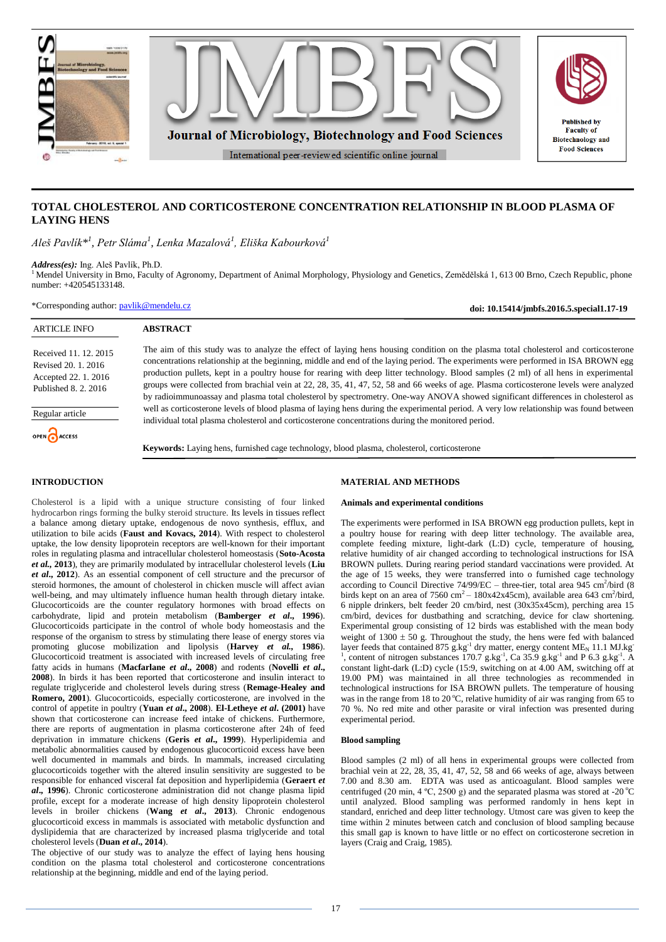

# **TOTAL CHOLESTEROL AND CORTICOSTERONE CONCENTRATION RELATIONSHIP IN BLOOD PLASMA OF LAYING HENS**

*Aleš Pavlík\* 1 , Petr Sláma<sup>1</sup> , Lenka Mazalová<sup>1</sup> , Eliška Kabourková<sup>1</sup>*

*Address(es):* Ing. Aleš Pavlík, Ph.D.

<sup>1</sup> Mendel University in Brno, Faculty of Agronomy, Department of Animal Morphology, Physiology and Genetics, Zemědělská 1, 613 00 Brno, Czech Republic, phone number: +420545133148.

\*Corresponding author: [pavlik@mendelu.cz](mailto:pavlik@mendelu.cz)

**doi: 10.15414/jmbfs.2016.5.special1.17-19**

| <b>ARTICLE INFO</b>                                                                          | <b>ABSTRACT</b>                                                                                                                                                                                                                                                                                                                                                                                                                                                                                                                                                                                                                                                                                  |
|----------------------------------------------------------------------------------------------|--------------------------------------------------------------------------------------------------------------------------------------------------------------------------------------------------------------------------------------------------------------------------------------------------------------------------------------------------------------------------------------------------------------------------------------------------------------------------------------------------------------------------------------------------------------------------------------------------------------------------------------------------------------------------------------------------|
| Received 11, 12, 2015<br>Revised 20, 1, 2016<br>Accepted 22, 1, 2016<br>Published 8, 2, 2016 | The aim of this study was to analyze the effect of laying hens housing condition on the plasma total cholesterol and corticosterone<br>concentrations relationship at the beginning, middle and end of the laying period. The experiments were performed in ISA BROWN egg<br>production pullets, kept in a poultry house for rearing with deep litter technology. Blood samples (2 ml) of all hens in experimental<br>groups were collected from brachial vein at 22, 28, 35, 41, 47, 52, 58 and 66 weeks of age. Plasma corticosterone levels were analyzed<br>by radioimmunoassay and plasma total cholesterol by spectrometry. One-way ANOVA showed significant differences in cholesterol as |
| Regular article                                                                              | well as corticosterone levels of blood plasma of laying hens during the experimental period. A very low relationship was found between<br>individual total plasma cholesterol and corticosterone concentrations during the monitored period.                                                                                                                                                                                                                                                                                                                                                                                                                                                     |
| OPEN ACCESS                                                                                  |                                                                                                                                                                                                                                                                                                                                                                                                                                                                                                                                                                                                                                                                                                  |
|                                                                                              | <b>Keywords:</b> Laying hens, furnished cage technology, blood plasma, cholesterol, corticosterone                                                                                                                                                                                                                                                                                                                                                                                                                                                                                                                                                                                               |

## **INTRODUCTION**

Cholesterol is a lipid with a unique structure consisting of four linked hydrocarbon rings forming the bulky steroid structure. Its levels in tissues reflect a balance among dietary uptake, endogenous de novo synthesis, efflux, and utilization to bile acids (**Faust and Kovacs, 2014**). With respect to cholesterol uptake, the low density lipoprotein receptors are well-known for their important roles in regulating plasma and intracellular cholesterol homeostasis (**Soto-Acosta**  *et al.,* **2013**), they are primarily modulated by intracellular cholesterol levels (**Liu**  *et al***., 2012**). As an essential component of cell structure and the precursor of steroid hormones, the amount of cholesterol in chicken muscle will affect avian well-being, and may ultimately influence human health through dietary intake. Glucocorticoids are the counter regulatory hormones with broad effects on carbohydrate, lipid and protein metabolism (**Bamberger** *et al***., 1996**). Glucocorticoids participate in the control of whole body homeostasis and the response of the organism to stress by stimulating there lease of energy stores via promoting glucose mobilization and lipolysis (**Harvey** *et al.,* **1986**). Glucocorticoid treatment is associated with increased levels of circulating free fatty acids in humans (**Macfarlane** *et al***., 2008**) and rodents (**Novelli** *et al***., 2008**). In birds it has been reported that corticosterone and insulin interact to regulate triglyceride and cholesterol levels during stress (**Remage-Healey and Romero, 2001**). Glucocorticoids, especially corticosterone, are involved in the control of appetite in poultry (**Yuan** *et al***., 2008**). **El-Letheye** *et al***. (2001)** have shown that corticosterone can increase feed intake of chickens. Furthermore, there are reports of augmentation in plasma corticosterone after 24h of feed deprivation in immature chickens (**Geris** *et al***., 1999**). Hyperlipidemia and metabolic abnormalities caused by endogenous glucocorticoid excess have been well documented in mammals and birds. In mammals, increased circulating glucocorticoids together with the altered insulin sensitivity are suggested to be responsible for enhanced visceral fat deposition and hyperlipidemia (**Geraert** *et al***., 1996**). Chronic corticosterone administration did not change plasma lipid profile, except for a moderate increase of high density lipoprotein cholesterol levels in broiler chickens (**Wang** *et al***., 2013**). Chronic endogenous glucocorticoid excess in mammals is associated with metabolic dysfunction and dyslipidemia that are characterized by increased plasma triglyceride and total cholesterol levels (**Duan** *et al***., 2014**).

The objective of our study was to analyze the effect of laying hens housing condition on the plasma total cholesterol and corticosterone concentrations relationship at the beginning, middle and end of the laying period.

## **MATERIAL AND METHODS**

#### **Animals and experimental conditions**

The experiments were performed in ISA BROWN egg production pullets, kept in a poultry house for rearing with deep litter technology. The available area, complete feeding mixture, light-dark (L:D) cycle, temperature of housing, relative humidity of air changed according to technological instructions for ISA BROWN pullets. During rearing period standard vaccinations were provided. At the age of 15 weeks, they were transferred into o furnished cage technology according to Council Directive  $74/99/EC$  – three-tier, total area  $945 \text{ cm}^2/\text{bird}$  (8) birds kept on an area of  $7560 \text{ cm}^2 - 180x42x45 \text{ cm}$ , available area 643 cm<sup>2</sup>/bird, 6 nipple drinkers, belt feeder 20 cm/bird, nest (30x35x45cm), perching area 15 cm/bird, devices for dustbathing and scratching, device for claw shortening. Experimental group consisting of 12 birds was established with the mean body weight of  $1300 \pm 50$  g. Throughout the study, the hens were fed with balanced layer feeds that contained 875 g.kg<sup>-1</sup> dry matter, energy content ME<sub>N</sub> 11.1 MJ.kg <sup>1</sup>, content of nitrogen substances  $170.7$  g.kg<sup>-1</sup>, Ca  $35.9$  g.kg<sup>-1</sup> and P 6.3 g.kg<sup>-1</sup>. A constant light-dark (L:D) cycle (15:9, switching on at 4.00 AM, switching off at 19.00 PM) was maintained in all three technologies as recommended in technological instructions for ISA BROWN pullets. The temperature of housing was in the range from 18 to 20 °C, relative humidity of air was ranging from 65 to 70 %. No red mite and other parasite or viral infection was presented during experimental period.

## **Blood sampling**

Blood samples (2 ml) of all hens in experimental groups were collected from brachial vein at 22, 28, 35, 41, 47, 52, 58 and 66 weeks of age, always between 7.00 and 8.30 am. EDTA was used as anticoagulant. Blood samples were centrifuged (20 min, 4 °C, 2500 g) and the separated plasma was stored at -20 °C until analyzed. Blood sampling was performed randomly in hens kept in standard, enriched and deep litter technology. Utmost care was given to keep the time within 2 minutes between catch and conclusion of blood sampling because this small gap is known to have little or no effect on corticosterone secretion in layers (Craig and Craig, 1985).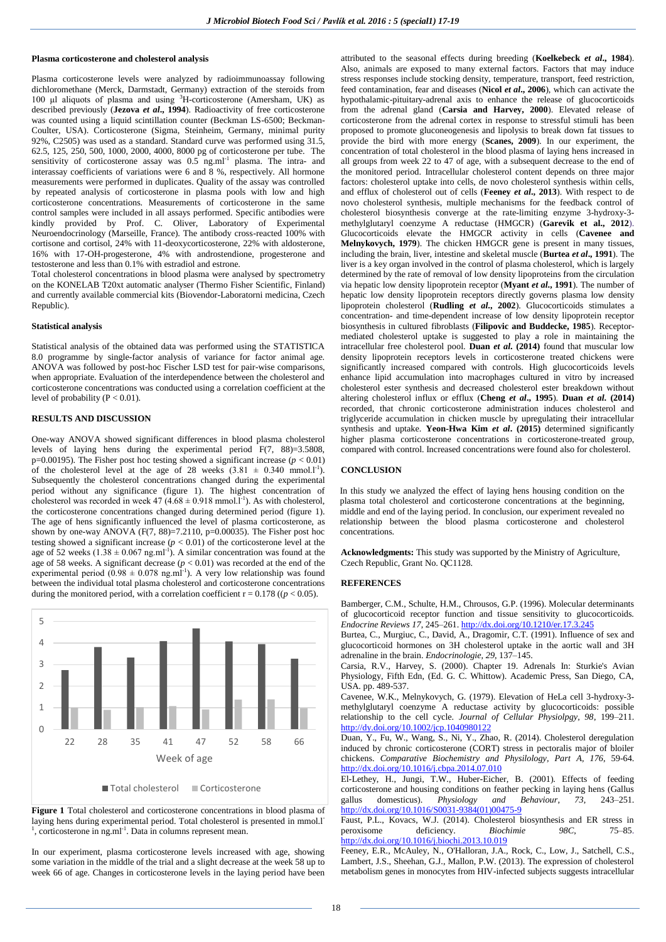#### **Plasma corticosterone and cholesterol analysis**

Plasma corticosterone levels were analyzed by radioimmunoassay following dichloromethane (Merck, Darmstadt, Germany) extraction of the steroids from 100 μl aliquots of plasma and using <sup>3</sup>H-corticosterone (Amersham, UK) as described previously (**Jezova** *et al***., 1994**). Radioactivity of free corticosterone was counted using a liquid scintillation counter (Beckman LS-6500; Beckman-Coulter, USA). Corticosterone (Sigma, Steinheim, Germany, minimal purity 92%, C2505) was used as a standard. Standard curve was performed using 31.5, 62.5, 125, 250, 500, 1000, 2000, 4000, 8000 pg of corticosterone per tube. The sensitivity of corticosterone assay was  $0.5$  ng.ml<sup>-1</sup> plasma. The intra- and interassay coefficients of variations were 6 and 8 %, respectively. All hormone measurements were performed in duplicates. Quality of the assay was controlled by repeated analysis of corticosterone in plasma pools with low and high corticosterone concentrations. Measurements of corticosterone in the same control samples were included in all assays performed. Specific antibodies were kindly provided by Prof. C. Oliver, Laboratory of Experimental Neuroendocrinology (Marseille, France). The antibody cross-reacted 100% with cortisone and cortisol, 24% with 11-deoxycorticosterone, 22% with aldosterone, 16% with 17-OH-progesterone, 4% with androstendione, progesterone and testosterone and less than 0.1% with estradiol and estrone.

Total cholesterol concentrations in blood plasma were analysed by spectrometry on the KONELAB T20xt automatic analyser (Thermo Fisher Scientific, Finland) and currently available commercial kits (Biovendor-Laboratorni medicina, Czech Republic).

## **Statistical analysis**

Statistical analysis of the obtained data was performed using the STATISTICA 8.0 programme by single-factor analysis of variance for factor animal age. ANOVA was followed by post-hoc Fischer LSD test for pair-wise comparisons, when appropriate. Evaluation of the interdependence between the cholesterol and corticosterone concentrations was conducted using a correlation coefficient at the level of probability (P < 0.01).

# **RESULTS AND DISCUSSION**

One-way ANOVA showed significant differences in blood plasma cholesterol levels of laying hens during the experimental period F(7, 88)=3.5808, p=0.00195). The Fisher post hoc testing showed a significant increase  $(p < 0.01)$ of the cholesterol level at the age of 28 weeks  $(3.81 \pm 0.340 \text{ mmol.} l^{\text{-}1})$ . Subsequently the cholesterol concentrations changed during the experimental period without any significance (figure 1). The highest concentration of cholesterol was recorded in week 47 ( $4.68 \pm 0.918$  mmol.<sup>1-1</sup>). As with cholesterol, the corticosterone concentrations changed during determined period (figure 1). The age of hens significantly influenced the level of plasma corticosterone, as shown by one-way ANOVA (F(7, 88)=7.2110, p=0.00035). The Fisher post hoc testing showed a significant increase  $(p < 0.01)$  of the corticosterone level at the age of 52 weeks  $(1.38 \pm 0.067$  ng.ml<sup>-1</sup>). A similar concentration was found at the age of 58 weeks. A significant decrease  $(p < 0.01)$  was recorded at the end of the experimental period  $(0.98 \pm 0.078 \text{ ng.m}^{-1})$ . A very low relationship was found between the individual total plasma cholesterol and corticosterone concentrations during the monitored period, with a correlation coefficient  $r = 0.178$  ( $(p < 0.05)$ ).



**Figure 1** Total cholesterol and corticosterone concentrations in blood plasma of laying hens during experimental period. Total cholesterol is presented in mmol.l<sup>-</sup> <sup>1</sup>, corticosterone in ng.ml<sup>-1</sup>. Data in columns represent mean.

In our experiment, plasma corticosterone levels increased with age, showing some variation in the middle of the trial and a slight decrease at the week 58 up to week 66 of age. Changes in corticosterone levels in the laying period have been attributed to the seasonal effects during breeding (**Koelkebeck** *et al***., 1984**). Also, animals are exposed to many external factors. Factors that may induce stress responses include stocking density, temperature, transport, feed restriction, feed contamination, fear and diseases (**Nicol** *et al***., 2006**), which can activate the hypothalamic-pituitary-adrenal axis to enhance the release of glucocorticoids from the adrenal gland (**Carsia and Harvey, 2000**). Elevated release of corticosterone from the adrenal cortex in response to stressful stimuli has been proposed to promote gluconeogenesis and lipolysis to break down fat tissues to provide the bird with more energy (**Scanes, 2009**). In our experiment, the concentration of total cholesterol in the blood plasma of laying hens increased in all groups from week 22 to 47 of age, with a subsequent decrease to the end of the monitored period. Intracellular cholesterol content depends on three major factors: cholesterol uptake into cells, de novo cholesterol synthesis within cells, and efflux of cholesterol out of cells (**Feeney** *et al***., 2013**). With respect to de novo cholesterol synthesis, multiple mechanisms for the feedback control of cholesterol biosynthesis converge at the rate-limiting enzyme 3-hydroxy-3 methylglutaryl coenzyme A reductase (HMGCR) (**Garevik et al., 2012**). Glucocorticoids elevate the HMGCR activity in cells (**Cavenee and Melnykovych, 1979**). The chicken HMGCR gene is present in many tissues, including the brain, liver, intestine and skeletal muscle (**Burtea** *et al***., 1991**). The liver is a key organ involved in the control of plasma cholesterol, which is largely determined by the rate of removal of low density lipoproteins from the circulation via hepatic low density lipoprotein receptor (**Myant** *et al***., 1991**). The number of hepatic low density lipoprotein receptors directly governs plasma low density lipoprotein cholesterol (**Rudling** *et al***., 2002**). Glucocorticoids stimulates a concentration- and time-dependent increase of low density lipoprotein receptor biosynthesis in cultured fibroblasts (**Filipovic and Buddecke, 1985**). Receptormediated cholesterol uptake is suggested to play a role in maintaining the intracellular free cholesterol pool. **Duan** *et al***. (2014)** found that muscular low density lipoprotein receptors levels in corticosterone treated chickens were significantly increased compared with controls. High glucocorticoids levels enhance lipid accumulation into macrophages cultured in vitro by increased cholesterol ester synthesis and decreased cholesterol ester breakdown without altering cholesterol influx or efflux (**Cheng** *et al***., 1995**). **Duan** *et al***. (2014)** recorded, that chronic corticosterone administration induces cholesterol and triglyceride accumulation in chicken muscle by upregulating their intracellular synthesis and uptake. **Yeon-Hwa Kim** *et al***. (2015)** determined significantly higher plasma corticosterone concentrations in corticosterone-treated group, compared with control. Increased concentrations were found also for cholesterol.

## **CONCLUSION**

In this study we analyzed the effect of laying hens housing condition on the plasma total cholesterol and corticosterone concentrations at the beginning, middle and end of the laying period. In conclusion, our experiment revealed no relationship between the blood plasma corticosterone and cholesterol concentrations.

**Acknowledgments:** This study was supported by the Ministry of Agriculture, Czech Republic, Grant No. QC1128.

#### **REFERENCES**

Bamberger, C.M., Schulte, H.M., Chrousos, G.P. (1996). Molecular determinants of glucocorticoid receptor function and tissue sensitivity to glucocorticoids. *Endocrine Reviews 17*, 245–261. <http://dx.doi.org/10.1210/er.17.3.245>

Burtea, C., Murgiuc, C., David, A., Dragomir, C.T. (1991). Influence of sex and glucocorticoid hormones on 3H cholesterol uptake in the aortic wall and 3H adrenaline in the brain. *Endocrinologie, 29*, 137–145.

Carsia, R.V., Harvey, S. (2000). Chapter 19. Adrenals In: Sturkie's Avian Physiology, Fifth Edn, (Ed. G. C. Whittow). Academic Press, San Diego, CA, USA. pp. 489-537.

Cavenee, W.K., Melnykovych, G. (1979). Elevation of HeLa cell 3-hydroxy-3 methylglutaryl coenzyme A reductase activity by glucocorticoids: possible relationship to the cell cycle. *Journal of Cellular Physiolpgy, 98*, 199–211. <http://dy.doi.org/10.1002/jcp.1040980122>

Duan, Y., Fu, W., Wang, S., Ni, Y., Zhao, R. (2014). Cholesterol deregulation induced by chronic corticosterone (CORT) stress in pectoralis major of bloiler chickens. *Comparative Biochemistry and Physilology, Part A, 176*, 59-64. <http://dx.doi.org/10.1016/j.cbpa.2014.07.010>

El-Lethey, H., Jungi, T.W., Huber-Eicher, B. (2001). Effects of feeding corticosterone and housing conditions on feather pecking in laying hens (Gallus gallus domesticus). *Physiology and Behaviour, 73*, 243–251. [http://dx.doi.org/10.1016/S0031-9384\(01\)00475-9](http://dx.doi.org/10.1016/S0031-9384(01)00475-9)

Faust, P.L., Kovacs, W.J. (2014). Cholesterol biosynthesis and ER stress in peroxisome deficiency. *Biochimie 98C*, 75–85. <http://dx.doi.org/10.1016/j.biochi.2013.10.019>

Feeney, E.R., McAuley, N., O'Halloran, J.A., Rock, C., Low, J., Satchell, C.S., Lambert, J.S., Sheehan, G.J., Mallon, P.W. (2013). The expression of cholesterol metabolism genes in monocytes from HIV-infected subjects suggests intracellular